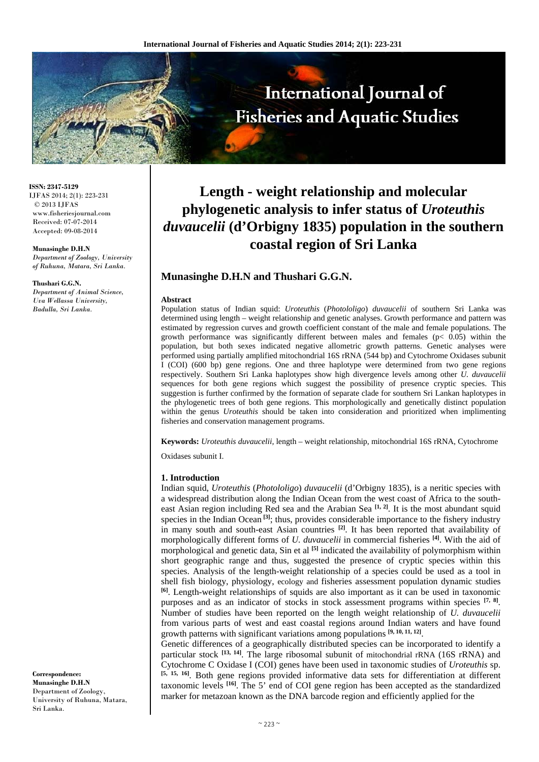

**ISSN: 2347-5129** IJFAS 2014; 2(1): 223-231 © 2013 IJFAS www.fisheriesjournal.com Received: 07-07-2014 Accepted: 09-08-2014

#### **Munasinghe D.H.N**

*Department of Zoology, University of Ruhuna, Matara, Sri Lanka.* 

#### **Thushari G.G.N.**

*Department of Animal Science, Uva Wellassa University, Badulla, Sri Lanka.* 

# **Length - weight relationship and molecular phylogenetic analysis to infer status of** *Uroteuthis duvaucelii* **(d'Orbigny 1835) population in the southern coastal region of Sri Lanka**

# **Munasinghe D.H.N and Thushari G.G.N.**

#### **Abstract**

Population status of Indian squid: *Uroteuthis* (*Photololigo*) *duvaucelii* of southern Sri Lanka was determined using length – weight relationship and genetic analyses. Growth performance and pattern was estimated by regression curves and growth coefficient constant of the male and female populations. The growth performance was significantly different between males and females ( $p < 0.05$ ) within the population, but both sexes indicated negative allometric growth patterns. Genetic analyses were performed using partially amplified mitochondrial 16S rRNA (544 bp) and Cytochrome Oxidases subunit I (COI) (600 bp) gene regions. One and three haplotype were determined from two gene regions respectively. Southern Sri Lanka haplotypes show high divergence levels among other *U. duvaucelii*  sequences for both gene regions which suggest the possibility of presence cryptic species. This suggestion is further confirmed by the formation of separate clade for southern Sri Lankan haplotypes in the phylogenetic trees of both gene regions. This morphologically and genetically distinct population within the genus *Uroteuthis* should be taken into consideration and prioritized when implimenting fisheries and conservation management programs.

**Keywords:** *Uroteuthis duvaucelii,* length – weight relationship, mitochondrial 16S rRNA, Cytochrome

Oxidases subunit I.

#### **1. Introduction**

Indian squid, *Uroteuthis* (*Photololigo*) *duvaucelii* (d'Orbigny 1835), is a neritic species with a widespread distribution along the Indian Ocean from the west coast of Africa to the southeast Asian region including Red sea and the Arabian Sea **[1, 2]**. It is the most abundant squid species in the Indian Ocean<sup>[3]</sup>; thus, provides considerable importance to the fishery industry in many south and south-east Asian countries **[2]**. It has been reported that availability of morphologically different forms of *U. duvaucelii* in commercial fisheries **[4]**. With the aid of morphological and genetic data, Sin et al **[5]** indicated the availability of polymorphism within short geographic range and thus, suggested the presence of cryptic species within this species. Analysis of the length-weight relationship of a species could be used as a tool in shell fish biology, physiology, ecology and fisheries assessment population dynamic studies **[6]**. Length-weight relationships of squids are also important as it can be used in taxonomic purposes and as an indicator of stocks in stock assessment programs within species **[7, 8]**. Number of studies have been reported on the length weight relationship of *U. duvaucelii* from various parts of west and east coastal regions around Indian waters and have found growth patterns with significant variations among populations **[9, 10, 11, 12]**.

Genetic differences of a geographically distributed species can be incorporated to identify a particular stock <sup>[13, 14]</sup>. The large ribosomal subunit of mitochondrial rRNA (16S rRNA) and Cytochrome C Oxidase I (COI) genes have been used in taxonomic studies of *Uroteuthis* sp. **[5, 15, 16]**. Both gene regions provided informative data sets for differentiation at different taxonomic levels **[16]**. The 5' end of COI gene region has been accepted as the standardized marker for metazoan known as the DNA barcode region and efficiently applied for the

**Correspondence: Munasinghe D.H.N** Department of Zoology, University of Ruhuna, Matara, Sri Lanka*.*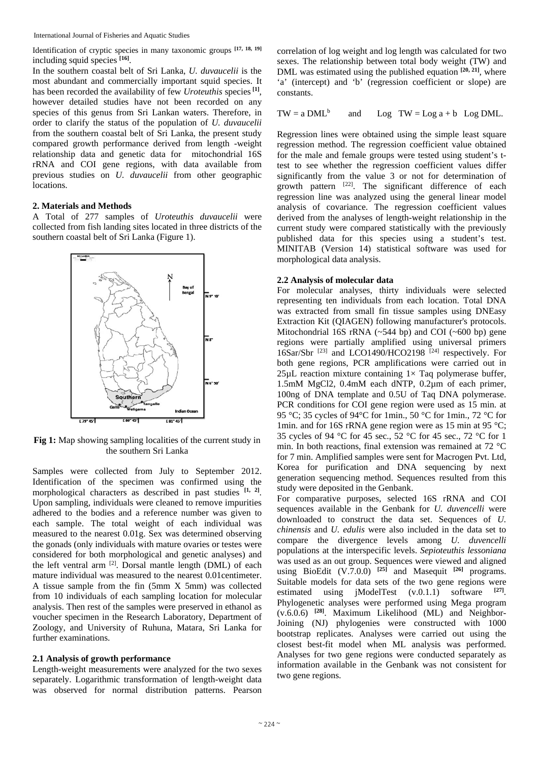Identification of cryptic species in many taxonomic groups **[17, 18, 19]** including squid species **[16]**.

In the southern coastal belt of Sri Lanka, *U. duvaucelii* is the most abundant and commercially important squid species. It has been recorded the availability of few *Uroteuthis* species**[1]**, however detailed studies have not been recorded on any species of this genus from Sri Lankan waters. Therefore, in order to clarify the status of the population of *U. duvaucelii* from the southern coastal belt of Sri Lanka, the present study compared growth performance derived from length -weight relationship data and genetic data for mitochondrial 16S rRNA and COI gene regions, with data available from previous studies on *U. duvaucelii* from other geographic locations.

## **2. Materials and Methods**

A Total of 277 samples of *Uroteuthis duvaucelii* were collected from fish landing sites located in three districts of the southern coastal belt of Sri Lanka (Figure 1).



**Fig 1:** Map showing sampling localities of the current study in the southern Sri Lanka

Samples were collected from July to September 2012. Identification of the specimen was confirmed using the morphological characters as described in past studies **[1, 2]**. Upon sampling, individuals were cleaned to remove impurities adhered to the bodies and a reference number was given to each sample. The total weight of each individual was measured to the nearest 0.01g. Sex was determined observing the gonads (only individuals with mature ovaries or testes were considered for both morphological and genetic analyses) and the left ventral arm  $^{[2]}$ . Dorsal mantle length (DML) of each mature individual was measured to the nearest 0.01centimeter. A tissue sample from the fin (5mm X 5mm) was collected from 10 individuals of each sampling location for molecular analysis. Then rest of the samples were preserved in ethanol as voucher specimen in the Research Laboratory, Department of Zoology, and University of Ruhuna, Matara, Sri Lanka for further examinations.

#### **2.1 Analysis of growth performance**

Length-weight measurements were analyzed for the two sexes separately. Logarithmic transformation of length-weight data was observed for normal distribution patterns. Pearson

correlation of log weight and log length was calculated for two sexes. The relationship between total body weight (TW) and DML was estimated using the published equation **[20, 21]**, where 'a' (intercept) and 'b' (regression coefficient or slope) are constants.

$$
TW = a DML^b
$$
 and  $Log TW = Log a + b Log DML$ .

Regression lines were obtained using the simple least square regression method. The regression coefficient value obtained for the male and female groups were tested using student's ttest to see whether the regression coefficient values differ significantly from the value 3 or not for determination of growth pattern [22]. The significant difference of each regression line was analyzed using the general linear model analysis of covariance. The regression coefficient values derived from the analyses of length-weight relationship in the current study were compared statistically with the previously published data for this species using a student's test. MINITAB (Version 14) statistical software was used for morphological data analysis.

## **2.2 Analysis of molecular data**

For molecular analyses, thirty individuals were selected representing ten individuals from each location. Total DNA was extracted from small fin tissue samples using DNEasy Extraction Kit (QIAGEN) following manufacturer's protocols. Mitochondrial 16S rRNA  $(\sim 544$  bp) and COI  $(\sim 600$  bp) gene regions were partially amplified using universal primers 16Sar/Sbr [23] and LCO1490/HCO2198 [24] respectively. For both gene regions, PCR amplifications were carried out in 25 $\mu$ L reaction mixture containing 1 $\times$  Taq polymerase buffer, 1.5mM MgCl2, 0.4mM each dNTP, 0.2µm of each primer, 100ng of DNA template and 0.5U of Taq DNA polymerase. PCR conditions for COI gene region were used as 15 min. at 95 °C; 35 cycles of 94°C for 1min., 50 °C for 1min., 72 °C for 1min. and for 16S rRNA gene region were as 15 min at 95 °C; 35 cycles of 94 °C for 45 sec., 52 °C for 45 sec., 72 °C for 1 min. In both reactions, final extension was remained at 72 °C for 7 min. Amplified samples were sent for Macrogen Pvt. Ltd, Korea for purification and DNA sequencing by next generation sequencing method. Sequences resulted from this study were deposited in the Genbank.

For comparative purposes, selected 16S rRNA and COI sequences available in the Genbank for *U. duvencelli* were downloaded to construct the data set. Sequences of *U. chinensis* and *U. edulis* were also included in the data set to compare the divergence levels among *U. duvencelli* populations at the interspecific levels. *Sepioteuthis lessoniana* was used as an out group. Sequences were viewed and aligned using BioEdit (V.7.0.0) **[25]** and Masequit **[26]** programs. Suitable models for data sets of the two gene regions were estimated using jModelTest (v.0.1.1) software **[27]**. Phylogenetic analyses were performed using Mega program (v.6.0.6) **[28]**. Maximum Likelihood (ML) and Neighbor-Joining (NJ) phylogenies were constructed with 1000 bootstrap replicates. Analyses were carried out using the closest best-fit model when ML analysis was performed. Analyses for two gene regions were conducted separately as information available in the Genbank was not consistent for two gene regions.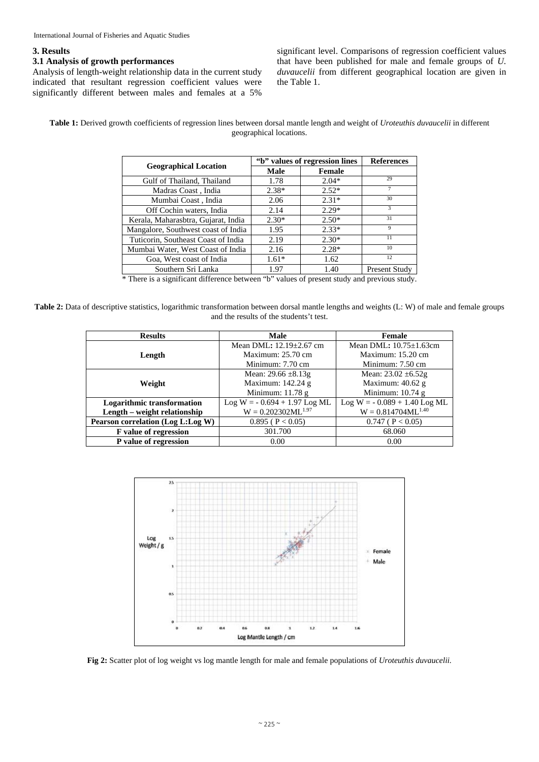#### **3. Results**

# **3.1 Analysis of growth performances**

Analysis of length-weight relationship data in the current study indicated that resultant regression coefficient values were significantly different between males and females at a 5% significant level. Comparisons of regression coefficient values that have been published for male and female groups of *U. duvaucelii* from different geographical location are given in the Table 1.

#### **Table 1:** Derived growth coefficients of regression lines between dorsal mantle length and weight of *Uroteuthis duvaucelii* in different geographical locations.

|                                     |             | "b" values of regression lines | <b>References</b> |
|-------------------------------------|-------------|--------------------------------|-------------------|
| <b>Geographical Location</b>        | <b>Male</b> | Female                         |                   |
| Gulf of Thailand, Thailand          | 1.78        | $2.04*$                        | 29                |
| Madras Coast, India                 | $2.38*$     | $2.52*$                        |                   |
| Mumbai Coast, India                 | 2.06        | $2.31*$                        | 30                |
| Off Cochin waters, India            | 2.14        | $2.29*$                        | 3                 |
| Kerala, Maharasbtra, Gujarat, India | $2.30*$     | $2.50*$                        | 31                |
| Mangalore, Southwest coast of India | 1.95        | $2.33*$                        | 9                 |
| Tuticorin, Southeast Coast of India | 2.19        | $2.30*$                        | 11                |
| Mumbai Water, West Coast of India   | 2.16        | $2.28*$                        | 10                |
| Goa, West coast of India            | $1.61*$     | 1.62                           | 12                |
| Southern Sri Lanka                  | 1.97        | 1.40                           | Present Study     |

\* There is a significant difference between "b" values of present study and previous study.

**Table 2:** Data of descriptive statistics, logarithmic transformation between dorsal mantle lengths and weights (L: W) of male and female groups and the results of the students't test.

| <b>Results</b>                    | <b>Male</b>                    | Female                         |
|-----------------------------------|--------------------------------|--------------------------------|
|                                   | Mean DML: 12.19±2.67 cm        | Mean DML: $10.75 \pm 1.63$ cm  |
| Length                            | Maximum: 25.70 cm              | Maximum: $15.20 \text{ cm}$    |
|                                   | Minimum: 7.70 cm               | Minimum: 7.50 cm               |
|                                   | Mean: $29.66 \pm 8.13$ g       | Mean: $23.02 \pm 6.52$ g       |
| Weight                            | Maximum: 142.24 g              | Maximum: $40.62$ g             |
|                                   | Minimum: $11.78$ g             | Minimum: $10.74$ g             |
| Logarithmic transformation        | $Log W = -0.694 + 1.97 Log ML$ | $Log W = -0.089 + 1.40 Log ML$ |
| Length – weight relationship      | $W = 0.202302ML^{1.97}$        | $W = 0.814704ML^{1.40}$        |
| Pearson correlation (Log L:Log W) | $0.895$ ( P < 0.05)            | $0.747$ ( P < 0.05)            |
| F value of regression             | 301.700                        | 68.060                         |
| P value of regression             | 0.00                           | 0.00                           |



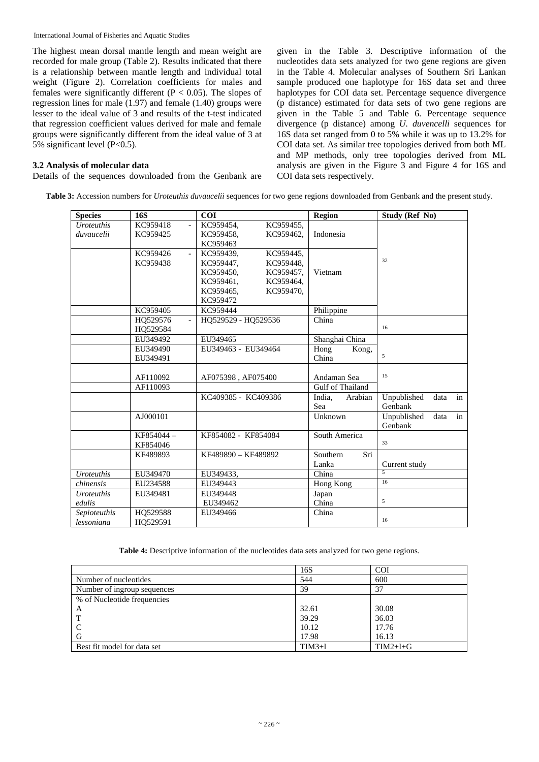The highest mean dorsal mantle length and mean weight are recorded for male group (Table 2). Results indicated that there is a relationship between mantle length and individual total weight (Figure 2). Correlation coefficients for males and females were significantly different ( $P < 0.05$ ). The slopes of regression lines for male (1.97) and female (1.40) groups were lesser to the ideal value of 3 and results of the t-test indicated that regression coefficient values derived for male and female groups were significantly different from the ideal value of 3 at 5% significant level (P<0.5).

# **3.2 Analysis of molecular data**

Details of the sequences downloaded from the Genbank are

given in the Table 3. Descriptive information of the nucleotides data sets analyzed for two gene regions are given in the Table 4. Molecular analyses of Southern Sri Lankan sample produced one haplotype for 16S data set and three haplotypes for COI data set. Percentage sequence divergence (p distance) estimated for data sets of two gene regions are given in the Table 5 and Table 6. Percentage sequence divergence (p distance) among *U. duvencelli* sequences for 16S data set ranged from 0 to 5% while it was up to 13.2% for COI data set. As similar tree topologies derived from both ML and MP methods, only tree topologies derived from ML analysis are given in the Figure 3 and Figure 4 for 16S and COI data sets respectively.

**Table 3:** Accession numbers for *Uroteuthis duvaucelii* sequences for two gene regions downloaded from Genbank and the present study.

| <b>Species</b>    | <b>16S</b> | <b>COI</b>                                         | Region            | Study (Ref No)            |
|-------------------|------------|----------------------------------------------------|-------------------|---------------------------|
| <b>Uroteuthis</b> | KC959418   | KC959454,<br>KC959455,<br>$\overline{a}$           |                   |                           |
| duvaucelii        | KC959425   | KC959458,<br>KC959462.                             | Indonesia         |                           |
|                   |            | KC959463                                           |                   |                           |
|                   | KC959426   | KC959439,<br>KC959445,<br>$\overline{\phantom{a}}$ |                   |                           |
|                   | KC959438   | KC959447,<br>KC959448,                             |                   | 32                        |
|                   |            | KC959450,<br>KC959457,                             | Vietnam           |                           |
|                   |            | KC959461,<br>KC959464,                             |                   |                           |
|                   |            | KC959465.<br>KC959470,                             |                   |                           |
|                   |            | KC959472                                           |                   |                           |
|                   | KC959405   | KC959444                                           | Philippine        |                           |
|                   | HO529576   | HO529529 - HO529536                                | China             |                           |
|                   | HQ529584   |                                                    |                   | 16                        |
|                   | EU349492   | EU349465                                           | Shanghai China    |                           |
|                   | EU349490   | EU349463 - EU349464                                | Hong<br>Kong,     |                           |
|                   | EU349491   |                                                    | China             | 5                         |
|                   |            |                                                    |                   |                           |
|                   | AF110092   | AF075398, AF075400                                 | Andaman Sea       | 15                        |
|                   | AF110093   |                                                    | Gulf of Thailand  |                           |
|                   |            | KC409385 - KC409386                                | India,<br>Arabian | Unpublished<br>in<br>data |
|                   |            |                                                    | Sea               | Genbank                   |
|                   | AJ000101   |                                                    | Unknown           | data<br>Unpublished<br>in |
|                   |            |                                                    |                   | Genbank                   |
|                   | KF854044-  | KF854082 - KF854084                                | South America     |                           |
|                   | KF854046   |                                                    |                   | 33                        |
|                   | KF489893   | KF489890 - KF489892                                | Southern<br>Sri   |                           |
|                   |            |                                                    | Lanka             | Current study             |
| <b>Uroteuthis</b> | EU349470   | EU349433,                                          | China             | $\overline{5}$            |
| chinensis         | EU234588   | EU349443                                           | Hong Kong         | 16                        |
| <b>Uroteuthis</b> | EU349481   | EU349448                                           | Japan             |                           |
| edulis            |            | EU349462                                           | China             | 5                         |
| Sepioteuthis      | HO529588   | EU349466                                           | China             |                           |
| lessoniana        | HQ529591   |                                                    |                   | 16                        |

**Table 4:** Descriptive information of the nucleotides data sets analyzed for two gene regions.

|                             | 16S      | <b>COI</b> |
|-----------------------------|----------|------------|
| Number of nucleotides       | 544      | 600        |
| Number of ingroup sequences | 39       | 37         |
| % of Nucleotide frequencies |          |            |
| A                           | 32.61    | 30.08      |
|                             | 39.29    | 36.03      |
|                             | 10.12    | 17.76      |
| G                           | 17.98    | 16.13      |
| Best fit model for data set | $TIM3+I$ | $TIM2+I+G$ |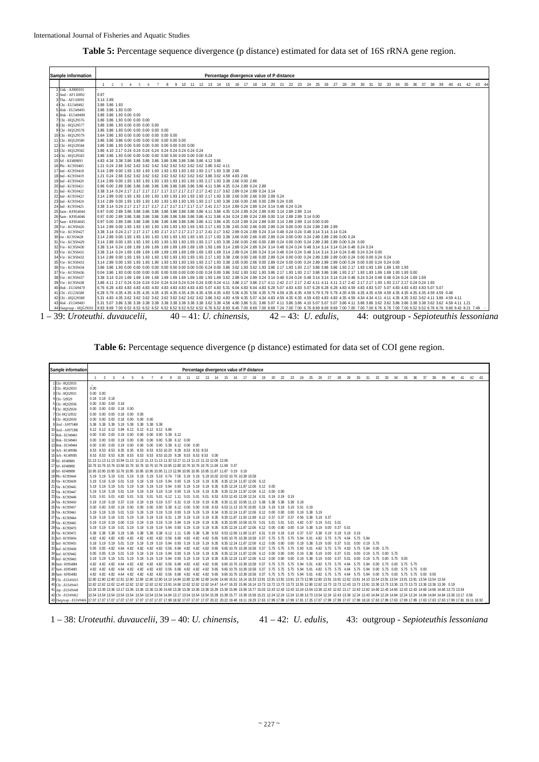|  |  | Table 5: Percentage sequence divergence (p distance) estimated for data set of 16S rRNA gene region. |  |  |  |  |  |  |  |  |  |  |  |  |
|--|--|------------------------------------------------------------------------------------------------------|--|--|--|--|--|--|--|--|--|--|--|--|
|--|--|------------------------------------------------------------------------------------------------------|--|--|--|--|--|--|--|--|--|--|--|--|

| Sample information     | Percentage divergence value of P distance                                                                                                                                       |
|------------------------|---------------------------------------------------------------------------------------------------------------------------------------------------------------------------------|
| Unk - AJ000101         | 8 9 10 11 12 13 14 15 16 17 18 19 20 21 22 23 24 25 26 27 28 29 30 31 32 33 34 35 36 37 38 39 40 41 42 43 44<br>$2 \quad 3$<br>-5<br>6<br>7<br>$\overline{1}$<br>$\overline{4}$ |
| 2 And - AF110092       | 0.97                                                                                                                                                                            |
| 3 Tha - AF110093       | 3.14 2.89                                                                                                                                                                       |
| 4 Chi - EU349492       |                                                                                                                                                                                 |
| 5 Hok - EU349491       | 3.86 3.86 1.93<br>3.86 3.86 1.93 0.00                                                                                                                                           |
|                        |                                                                                                                                                                                 |
| 6 Hok - EU349490       | 3.86 3.86 1.93 0.00 0.00                                                                                                                                                        |
| 7 Chi - HQ529576       | 3.86 3.86 1.93 0.00 0.00 0.00                                                                                                                                                   |
| 8 Chi - HQ529577       | 3.86 3.86 1.93 0.00 0.00 0.00 0.00                                                                                                                                              |
| 9 Chi - HQ529578       | 3.86 3.86 1.93 0.00 0.00 0.00 0.00 0.00                                                                                                                                         |
| 10 Chi - HQ529579      | 3.64 3.86 1.93 0.00 0.00 0.00 0.00 0.00 0.00                                                                                                                                    |
| 11 Chi - HQ529580      | 3.86 3.86 3.86 0.00 0.00 0.00 0.00 0.00 0.00 0.00                                                                                                                               |
| 12 Chi - HQ529584      |                                                                                                                                                                                 |
| 13 Chi - HQ529582      |                                                                                                                                                                                 |
| 14 Chi - HQ529583      |                                                                                                                                                                                 |
| 15 Srl - KF489893      |                                                                                                                                                                                 |
| 16 Phi - KC959405      |                                                                                                                                                                                 |
| 17 Ind - KC959418      |                                                                                                                                                                                 |
| 18 Ind - KC959419      |                                                                                                                                                                                 |
| 19 Ind - KC959420      |                                                                                                                                                                                 |
| 20 Ind - KC959421      |                                                                                                                                                                                 |
| 21 Ind - KC959422      |                                                                                                                                                                                 |
| 22 Ind - KC959423      |                                                                                                                                                                                 |
| 23 Ind - KC959424      |                                                                                                                                                                                 |
| 24 Ind - KC959425      |                                                                                                                                                                                 |
| 25 Sam - KF854044      |                                                                                                                                                                                 |
| 26 Sam - KF854046      |                                                                                                                                                                                 |
| 27 Sam - KF854045      |                                                                                                                                                                                 |
| 28 Vie - KC959426      |                                                                                                                                                                                 |
| 29 Vie - KC959427      | 3.38 3.14 0.24 2.17 2.17 2.17 1.93 2.17 2.17 2.17 2.17 2.17 2.41 2.17 3.62 2.89 0.24 2.89 0.24 3.14 0.48 0.24 0.24 0.48 3.14 3.14 3.14 3.14 0.24                                |
| 30 vie - KC959428      |                                                                                                                                                                                 |
| 31 Vie - KC959429      |                                                                                                                                                                                 |
| 32 Vie - KC959430      |                                                                                                                                                                                 |
| 33 Vie - KC959431      |                                                                                                                                                                                 |
| 34 Vie - KC959432      |                                                                                                                                                                                 |
| 35 Vie - KC959433      |                                                                                                                                                                                 |
| 36 Vie - KC959434      |                                                                                                                                                                                 |
| 37 Vie - KC959436      |                                                                                                                                                                                 |
| 38 Vie - KC959437      |                                                                                                                                                                                 |
| 39 Vie - KC959438      |                                                                                                                                                                                 |
| 40 Hok - EU349470      |                                                                                                                                                                                 |
| 41 Chi - EU234588      |                                                                                                                                                                                 |
|                        |                                                                                                                                                                                 |
| 42 Chi - HO529588      |                                                                                                                                                                                 |
| 43 Hok - EU349481      |                                                                                                                                                                                 |
| 44 Outgroup - HO529591 |                                                                                                                                                                                 |

Table 6: Percentage sequence divergence (p distance) estimated for data set of COI gene region.

| Sample information     |                |                   |                         |                                    |   |                                                  |  |                                                                                                     |  |  |  | Percentage divergence value of P distance                                                         |                                                                                                                                                                                                                                 |       |  |  |                            |  |  |          |    |       |    |    |    |       |    |       |  |
|------------------------|----------------|-------------------|-------------------------|------------------------------------|---|--------------------------------------------------|--|-----------------------------------------------------------------------------------------------------|--|--|--|---------------------------------------------------------------------------------------------------|---------------------------------------------------------------------------------------------------------------------------------------------------------------------------------------------------------------------------------|-------|--|--|----------------------------|--|--|----------|----|-------|----|----|----|-------|----|-------|--|
|                        | $\overline{1}$ | 2                 | $\overline{\mathbf{3}}$ | $\overline{4}$                     | 5 | 6                                                |  |                                                                                                     |  |  |  | 7 8 9 10 11 12 13 14 15 16 17 18 19                                                               |                                                                                                                                                                                                                                 | 20 22 |  |  | 23  24  25  26  27  28  29 |  |  | 30 31 32 | 33 | 34 35 | 36 | 37 | 38 | 39 40 | 41 | 42 43 |  |
| 1 Chi - HQ529535       |                |                   |                         |                                    |   |                                                  |  |                                                                                                     |  |  |  |                                                                                                   |                                                                                                                                                                                                                                 |       |  |  |                            |  |  |          |    |       |    |    |    |       |    |       |  |
| 2 Chi - HQ529533       | 0.00           |                   |                         |                                    |   |                                                  |  |                                                                                                     |  |  |  |                                                                                                   |                                                                                                                                                                                                                                 |       |  |  |                            |  |  |          |    |       |    |    |    |       |    |       |  |
| 3 Chi - HQ529531       |                | $0.00 \quad 0.00$ |                         |                                    |   |                                                  |  |                                                                                                     |  |  |  |                                                                                                   |                                                                                                                                                                                                                                 |       |  |  |                            |  |  |          |    |       |    |    |    |       |    |       |  |
| 4 Chi - 529529         |                |                   | $0.18$ $0.18$ $0.18$    |                                    |   |                                                  |  |                                                                                                     |  |  |  |                                                                                                   |                                                                                                                                                                                                                                 |       |  |  |                            |  |  |          |    |       |    |    |    |       |    |       |  |
| 5 Chi - HQ529536       |                |                   |                         | $0.00$ $0.00$ $0.00$ $0.18$        |   |                                                  |  |                                                                                                     |  |  |  |                                                                                                   |                                                                                                                                                                                                                                 |       |  |  |                            |  |  |          |    |       |    |    |    |       |    |       |  |
| 6 Chi - HQ529534       |                |                   |                         | $0.00$ $0.00$ $0.00$ $0.18$ $0.00$ |   |                                                  |  |                                                                                                     |  |  |  |                                                                                                   |                                                                                                                                                                                                                                 |       |  |  |                            |  |  |          |    |       |    |    |    |       |    |       |  |
| 7 Chi -HQ 529532       |                |                   |                         |                                    |   | $0.00$ $0.00$ $0.00$ $0.18$ $0.00$ $0.00$        |  |                                                                                                     |  |  |  |                                                                                                   |                                                                                                                                                                                                                                 |       |  |  |                            |  |  |          |    |       |    |    |    |       |    |       |  |
| 8 Chi - HQ529530       |                |                   |                         |                                    |   | $0.00$ $0.00$ $0.00$ $0.18$ $0.00$ $0.00$ $0.00$ |  |                                                                                                     |  |  |  |                                                                                                   |                                                                                                                                                                                                                                 |       |  |  |                            |  |  |          |    |       |    |    |    |       |    |       |  |
| 9 And - AF075400       |                |                   |                         |                                    |   | 5.38 5.38 5.38 5.19 5.38 5.38 5.38 5.38          |  |                                                                                                     |  |  |  |                                                                                                   |                                                                                                                                                                                                                                 |       |  |  |                            |  |  |          |    |       |    |    |    |       |    |       |  |
| 10 And - AF075398      |                |                   |                         |                                    |   | 6.12 6.12 6.12 5.94 6.12 6.12 6.12 6.12 6.86     |  |                                                                                                     |  |  |  |                                                                                                   |                                                                                                                                                                                                                                 |       |  |  |                            |  |  |          |    |       |    |    |    |       |    |       |  |
| 11 Hok - EU349463      |                |                   |                         |                                    |   |                                                  |  |                                                                                                     |  |  |  |                                                                                                   |                                                                                                                                                                                                                                 |       |  |  |                            |  |  |          |    |       |    |    |    |       |    |       |  |
| 12 Hok - EU349465      |                |                   |                         |                                    |   |                                                  |  |                                                                                                     |  |  |  |                                                                                                   |                                                                                                                                                                                                                                 |       |  |  |                            |  |  |          |    |       |    |    |    |       |    |       |  |
| 13 Hok - EU349464      |                |                   |                         |                                    |   |                                                  |  |                                                                                                     |  |  |  |                                                                                                   |                                                                                                                                                                                                                                 |       |  |  |                            |  |  |          |    |       |    |    |    |       |    |       |  |
| 14 Arb - KC409386      |                |                   |                         |                                    |   |                                                  |  |                                                                                                     |  |  |  |                                                                                                   |                                                                                                                                                                                                                                 |       |  |  |                            |  |  |          |    |       |    |    |    |       |    |       |  |
| 15 Arb - KC409385      |                |                   |                         |                                    |   |                                                  |  |                                                                                                     |  |  |  |                                                                                                   |                                                                                                                                                                                                                                 |       |  |  |                            |  |  |          |    |       |    |    |    |       |    |       |  |
| 16 Srl - KF489891      |                |                   |                         |                                    |   |                                                  |  | 11.13 11.13 11.13 10.94 11.13 11.13 11.13 11.13 11.32 13.17 11.13 11.13 11.13 12.06 12.06           |  |  |  |                                                                                                   |                                                                                                                                                                                                                                 |       |  |  |                            |  |  |          |    |       |    |    |    |       |    |       |  |
| 17 Srl - KF489892      |                |                   |                         |                                    |   |                                                  |  | 10.76 10.76 10.76 10.58 10.76 10.76 10.76 10.76 10.95 12.80 10.76 10.76 10.76 11.69 11.69 0.37      |  |  |  |                                                                                                   |                                                                                                                                                                                                                                 |       |  |  |                            |  |  |          |    |       |    |    |    |       |    |       |  |
| 18 Srl - KF489890      |                |                   |                         |                                    |   |                                                  |  | 10.95 10.95 10.95 10.76 10.95 10.95 10.95 10.95 11.13 12.99 10.95 10.95 10.95 11.87 11.87 0.19 0.19 |  |  |  |                                                                                                   |                                                                                                                                                                                                                                 |       |  |  |                            |  |  |          |    |       |    |    |    |       |    |       |  |
| 19 Phi - KC959444      |                |                   |                         |                                    |   |                                                  |  |                                                                                                     |  |  |  | 5.19 5.19 5.19 5.01 5.19 5.19 5.19 5.19 0.74 7.05 5.19 5.19 5.19 10.02 10.02 10.76 10.39 10.58    |                                                                                                                                                                                                                                 |       |  |  |                            |  |  |          |    |       |    |    |    |       |    |       |  |
| 20 Vie - KC959439      |                |                   |                         |                                    |   |                                                  |  |                                                                                                     |  |  |  | 5.19 5.19 5.19 5.01 5.19 5.19 5.19 5.19 5.94 0.93 5.19 5.19 5.19 8.35 8.35 12.24 11.87 12.06 6.12 |                                                                                                                                                                                                                                 |       |  |  |                            |  |  |          |    |       |    |    |    |       |    |       |  |
| 21 Vie - KC959445      |                |                   |                         |                                    |   |                                                  |  |                                                                                                     |  |  |  |                                                                                                   | 5.19 5.19 5.19 5.01 5.19 5.19 5.19 5.19 5.19 5.94 0.93 5.19 5.19 5.19 8.35 8.35 12.24 11.87 12.06 6.12 0.00                                                                                                                     |       |  |  |                            |  |  |          |    |       |    |    |    |       |    |       |  |
| 22 Vie - KC959447      |                |                   |                         |                                    |   |                                                  |  |                                                                                                     |  |  |  |                                                                                                   | 5.19 5.19 5.19 5.01 5.19 5.19 5.19 5.19 5.19 5.19 0.93 5.19 5.19 5.19 8.35 8.35 12.24 11.87 12.06 6.12 0.00 0.00                                                                                                                |       |  |  |                            |  |  |          |    |       |    |    |    |       |    |       |  |
| 23 Vie - KC959448      |                |                   |                         |                                    |   |                                                  |  |                                                                                                     |  |  |  |                                                                                                   | 5.01 5.01 5.01 4.82 5.01 5.01 5.01 5.01 6.12 1.11 5.01 5.01 5.01 8.53 8.53 12.43 12.06 12.24 6.31 0.19 0.19 0.19                                                                                                                |       |  |  |                            |  |  |          |    |       |    |    |    |       |    |       |  |
| 24 Vie - KC959450      |                |                   |                         |                                    |   |                                                  |  |                                                                                                     |  |  |  |                                                                                                   | 0.19 0.19 0.19 0.37 0.19 0.19 0.19 0.19 5.57 6.31 0.19 0.19 0.19 8.35 8.35 11.32 10.95 11.13 5.38 5.38 5.38 5.38 5.19                                                                                                           |       |  |  |                            |  |  |          |    |       |    |    |    |       |    |       |  |
| 25 Vie - KC959457      |                |                   |                         |                                    |   |                                                  |  |                                                                                                     |  |  |  |                                                                                                   |                                                                                                                                                                                                                                 |       |  |  |                            |  |  |          |    |       |    |    |    |       |    |       |  |
| 26 Vie - KC959461      |                |                   |                         |                                    |   |                                                  |  |                                                                                                     |  |  |  |                                                                                                   | 5.19 5.19 5.01 5.01 5.19 5.19 5.19 5.19 5.19 0.93 5.19 5.19 5.19 8.34 8.35 12.24 11.87 12.06 6.12 0.00 0.00 0.00 0.19 5.38 5.19                                                                                                 |       |  |  |                            |  |  |          |    |       |    |    |    |       |    |       |  |
| 27 Vie - KC959464      |                |                   |                         |                                    |   |                                                  |  |                                                                                                     |  |  |  |                                                                                                   | 5.19 5.19 5.19 5.01 5.19 5.19 5.19 5.19 6.31 1.29 5.19 5.19 5.19 8.35 8.35 11.87 11.50 11.69 6.12 0.37 0.37 0.37 0.56 5.38 5.19 0.37                                                                                            |       |  |  |                            |  |  |          |    |       |    |    |    |       |    |       |  |
| 28 Vie - KC959465      |                |                   |                         |                                    |   |                                                  |  |                                                                                                     |  |  |  |                                                                                                   |                                                                                                                                                                                                                                 |       |  |  |                            |  |  |          |    |       |    |    |    |       |    |       |  |
| 29 Vie - KC959470      |                |                   |                         |                                    |   |                                                  |  |                                                                                                     |  |  |  |                                                                                                   | 5.19 5.19 5.19 5.01 5.19 5.19 5.19 5.19 5.94 0.93 5.19 5.19 5.19 8.35 8.35 12.24 11.87 12.06 6.12 0.00 0.00 0.00 0.19 5.38 5.19 0.00 0.37 5.01                                                                                  |       |  |  |                            |  |  |          |    |       |    |    |    |       |    |       |  |
| 30 Vie - KC959472      |                |                   |                         |                                    |   |                                                  |  |                                                                                                     |  |  |  |                                                                                                   | 5.38 5.38 5.38 5.19 5.38 5.38 5.38 6.12 1.11 5.38 5.38 5.38 8.53 8.53 12.06 11.69 11.87 6.31 0.19 0.18 0.18 0.37 5.57 5.38 0.19 0.19 5.19 0.19                                                                                  |       |  |  |                            |  |  |          |    |       |    |    |    |       |    |       |  |
| 31 Ind - KC959454      |                |                   |                         |                                    |   |                                                  |  |                                                                                                     |  |  |  |                                                                                                   | 4.82 4.82 4.82 4.65 4.82 4.82 4.82 4.82 0.56 6.68 4.82 4.82 4.82 9.65 9.65 10.76 10.39 10.58 0.37 5.75 5.75 5.75 5.75 5.94 5.01 4.82 5.75 5.75 4.64 5.75 5.94                                                                   |       |  |  |                            |  |  |          |    |       |    |    |    |       |    |       |  |
| 32 Ind - KC959455      |                |                   |                         |                                    |   |                                                  |  |                                                                                                     |  |  |  |                                                                                                   | 5.19 5.19 5.19 5.01 5.19 5.19 5.19 5.94 0.93 5.19 5.19 5.19 8.35 8.35 12.24 11.87 12.06 6.12 0.00 0.00 0.00 0.19 5.38 5.19 0.00 0.37 5.01 0.00 0.19 5.75                                                                        |       |  |  |                            |  |  |          |    |       |    |    |    |       |    |       |  |
| 33 Ind - KC959458      |                |                   |                         |                                    |   |                                                  |  |                                                                                                     |  |  |  |                                                                                                   | 0.05 0.05 4.82 4.64 4.82 4.82 4.82 4.82 0.56 6.68 4.82 4.82 4.82 9.65 9.65 10.76 10.39 10.58 0.37 5.75 5.75 5.75 5.93 5.01 4.82 5.75 5.75 5.75 5.75 5.75 5.94 0.00 5.75                                                         |       |  |  |                            |  |  |          |    |       |    |    |    |       |    |       |  |
| 34 Ind - KC959462      |                |                   |                         |                                    |   |                                                  |  |                                                                                                     |  |  |  |                                                                                                   | 0.05 0.05 5.19 5.01 5.19 5.19 5.19 5.19 5.94 0.93 5.19 5.19 5.19 8.35 8.35 12.24 11.87 12.06 6.12 0.00 0.00 0.00 0.19 5.38 5.19 0.00 0.37 5.01 0.00 0.19 5.75 0.00 5.75                                                         |       |  |  |                            |  |  |          |    |       |    |    |    |       |    |       |  |
| 35 Ind - KC959463      |                |                   |                         |                                    |   |                                                  |  |                                                                                                     |  |  |  |                                                                                                   | 5.19 5.19 5.19 5.01 5.19 5.19 5.19 5.19 5.94 0.93 5.19 5.19 8.35 8.35 12.24 11.87 12.06 6.12 0.00 0.00 0.00 0.19 5.38 5.19 0.00 0.37 5.01 0.00 0.19 5.75 0.00 5.75 0.00                                                         |       |  |  |                            |  |  |          |    |       |    |    |    |       |    |       |  |
| 36 Sam - KF854084      |                |                   |                         |                                    |   |                                                  |  |                                                                                                     |  |  |  |                                                                                                   | 4.82 4.82 4.64 4.82 4.82 4.82 4.82 0.56 6.68 4.82 4.82 4.82 9.65 9.65 10.76 10.39 10.58 0.37 5.75 5.75 5.75 5.94 5.01 4.82 5.75 5.75 5.75 4.64 5.75 5.94 0.00 5.75 0.00 5.75 5.75                                               |       |  |  |                            |  |  |          |    |       |    |    |    |       |    |       |  |
| 37 Sam - KF854083      |                |                   |                         |                                    |   |                                                  |  |                                                                                                     |  |  |  |                                                                                                   | 4.82 4.82 4.82 4.64 4.82 4.82 4.82 4.82 0.56 6.68 4.82 4.82 4.82 9.65 0.65 10.76 10.39 10.58 0.37 5.75 5.75 5.75 5.75 5.94 5.01 4.82 5.75 5.75 5.75 4.64 5.75 5.94 0.00 5.75 9.00 5.75 0.00 5.75 0.00 5.75 0.00                 |       |  |  |                            |  |  |          |    |       |    |    |    |       |    |       |  |
| 38 Sam - KF854082      |                |                   |                         |                                    |   |                                                  |  |                                                                                                     |  |  |  |                                                                                                   |                                                                                                                                                                                                                                 |       |  |  |                            |  |  |          |    |       |    |    |    |       |    |       |  |
| 39 Chi - EU349433      |                |                   |                         |                                    |   |                                                  |  |                                                                                                     |  |  |  |                                                                                                   | 12.80 12.80 12.80 12.80 12.80 12.80 12.80 14.80 14.84 12.80 12.80 12.80 14.66 14.66 16.51 16.14 16.33 13.91 13.91 13.91 13.91 13.91 13.91 13.91 13.91 13.91 12.80 14.10 13.54 13.91 13.54 13.91 13.54 13.54 13.54 13.54 13.54 1 |       |  |  |                            |  |  |          |    |       |    |    |    |       |    |       |  |
| 40 Chi - EU349443      |                |                   |                         |                                    |   |                                                  |  |                                                                                                     |  |  |  |                                                                                                   | 12.62 12.62 12.62 12.62 12.62 12.62 12.62 12.62 13.91 14.66 12.62 12.62 12.62 14.47 16.33 15.96 16.14 13.73 13.73 13.73 13.73 13.55 12.80 12.62 13.73 13.73 13.73 13.73 13.36 13.73 13.73 13.73 13.73 13.73 13.73 13.73 15.96 1 |       |  |  |                            |  |  |          |    |       |    |    |    |       |    |       |  |
| 41 Jap - EU349448      |                |                   |                         |                                    |   |                                                  |  |                                                                                                     |  |  |  |                                                                                                   | 13.34 13.36 13.36 13.36 13.36 13.36 13.36 14.66 13.36 13.36 13.36 13.36 15.39 15.39 15.99 15.58 15.77 15.03 12.43 12.43 12.43 12.43 13.24 13.36 12.43 12.62 13.17 12.43 12.62 14.66 12.43 12.62 14.66 14.66 14.66 14.66 14.66 1 |       |  |  |                            |  |  |          |    |       |    |    |    |       |    |       |  |
| 42 Chi - EU349462      |                |                   |                         |                                    |   |                                                  |  |                                                                                                     |  |  |  |                                                                                                   | 13.54 13.54 13.54 13.54 13.54 13.54 13.54 14.84 13.17 13.54 13.54 13.54 15.39 15.39 15.77 15.39 15.77 15.39 15.58 15.21 12.24 12.24 12.06 13.73 13.54 12.24 12.84 13.36 12.24 14.84 14.84 14.84 14.84 14.84 14.84 14.84 14.84 1 |       |  |  |                            |  |  |          |    |       |    |    |    |       |    |       |  |
| 43 Outgroup - EU349466 |                |                   |                         |                                    |   |                                                  |  |                                                                                                     |  |  |  |                                                                                                   | 17.07 17.07 17.07 17.07 17.07 17.07 17.07 17.07 17.07 17.09 18.92 17.07 17.07 17.07 17.07 20.22 20.22 19.48 19.11 19.29 17.63 17.99 17.99 17.80 17.08 17.07 17.07 17.99 17.07 17.07 17.07 17.07 17.07 17.07 17.07 17.07 19.92 1 |       |  |  |                            |  |  |          |    |       |    |    |    |       |    |       |  |

1 – 38: *Uroteuthi. duvaucelii,* 39 – 40: *U. chinensis,* 41 – 42: *U. edulis,* 43: outgroup - *Sepioteuthis lessoniana*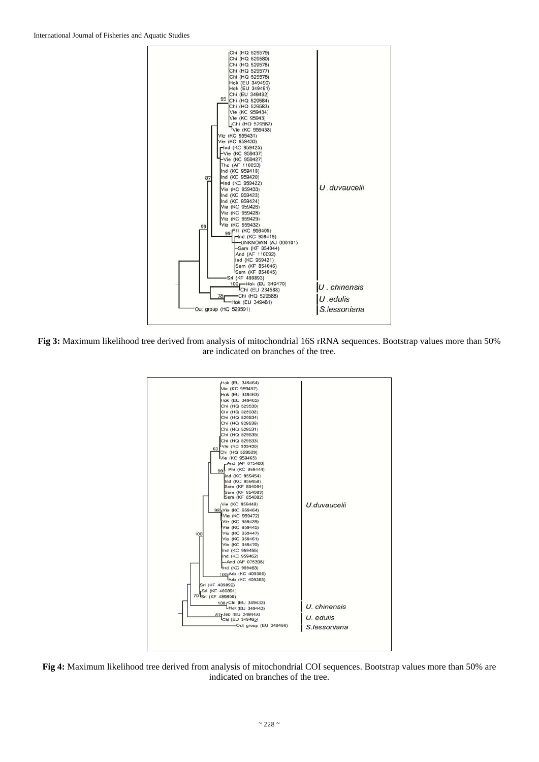

**Fig 3:** Maximum likelihood tree derived from analysis of mitochondrial 16S rRNA sequences. Bootstrap values more than 50% are indicated on branches of the tree.



**Fig 4:** Maximum likelihood tree derived from analysis of mitochondrial COI sequences. Bootstrap values more than 50% are indicated on branches of the tree.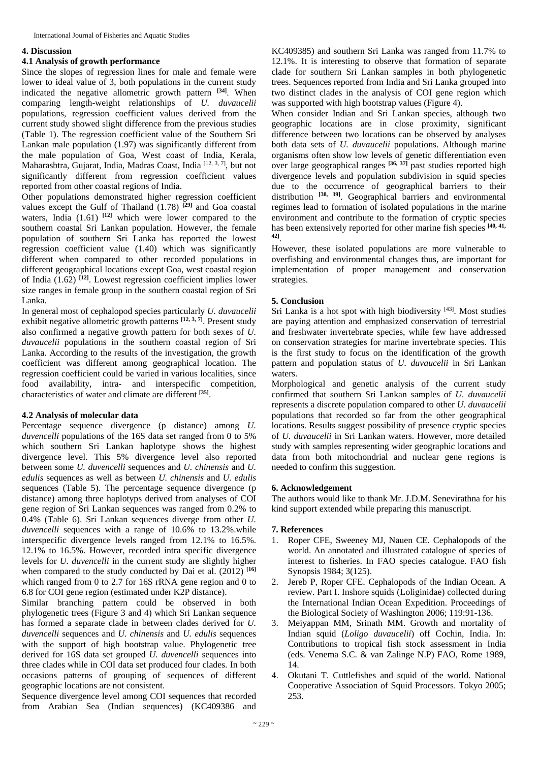## **4. Discussion**

# **4.1 Analysis of growth performance**

Since the slopes of regression lines for male and female were lower to ideal value of 3, both populations in the current study indicated the negative allometric growth pattern **[34]**. When comparing length-weight relationships of *U. duvaucelii* populations, regression coefficient values derived from the current study showed slight difference from the previous studies (Table 1). The regression coefficient value of the Southern Sri Lankan male population (1.97) was significantly different from the male population of Goa, West coast of India, Kerala, Maharasbtra, Gujarat, India, Madras Coast, India [12, 3, 7], but not significantly different from regression coefficient values reported from other coastal regions of India.

Other populations demonstrated higher regression coefficient values except the Gulf of Thailand (1.78) **[29]** and Goa coastal waters, India (1.61) **[12]** which were lower compared to the southern coastal Sri Lankan population. However, the female population of southern Sri Lanka has reported the lowest regression coefficient value (1.40) which was significantly different when compared to other recorded populations in different geographical locations except Goa, west coastal region of India (1.62) **[12]**. Lowest regression coefficient implies lower size ranges in female group in the southern coastal region of Sri Lanka.

In general most of cephalopod species particularly *U. duvaucelii* exhibit negative allometric growth patterns <sup>[12, 3, 7]</sup>. Present study also confirmed a negative growth pattern for both sexes of *U. duvaucelii* populations in the southern coastal region of Sri Lanka. According to the results of the investigation, the growth coefficient was different among geographical location. The regression coefficient could be varied in various localities, since food availability, intra- and interspecific competition, characteristics of water and climate are different **[35]**.

# **4.2 Analysis of molecular data**

Percentage sequence divergence (p distance) among *U. duvencelli* populations of the 16S data set ranged from 0 to 5% which southern Sri Lankan haplotype shows the highest divergence level. This 5% divergence level also reported between some *U. duvencelli* sequences and *U. chinensis* and *U. edulis* sequences as well as between *U. chinensis* and *U. edulis* sequences (Table 5). The percentage sequence divergence (p distance) among three haplotyps derived from analyses of COI gene region of Sri Lankan sequences was ranged from 0.2% to 0.4% (Table 6). Sri Lankan sequences diverge from other *U. duvencelli* sequences with a range of 10.6% to 13.2%.while interspecific divergence levels ranged from 12.1% to 16.5%. 12.1% to 16.5%. However, recorded intra specific divergence levels for *U. duvencelli* in the current study are slightly higher when compared to the study conducted by Dai et al. (2012) **[16]** which ranged from 0 to 2.7 for 16S rRNA gene region and 0 to 6.8 for COI gene region (estimated under K2P distance).

Similar branching pattern could be observed in both phylogenetic trees (Figure 3 and 4) which Sri Lankan sequence has formed a separate clade in between clades derived for *U. duvencelli* sequences and *U. chinensis* and *U. edulis* sequences with the support of high bootstrap value. Phylogenetic tree derived for 16S data set grouped *U. duvencelli* sequences into three clades while in COI data set produced four clades. In both occasions patterns of grouping of sequences of different geographic locations are not consistent.

Sequence divergence level among COI sequences that recorded from Arabian Sea (Indian sequences) (KC409386 and KC409385) and southern Sri Lanka was ranged from 11.7% to 12.1%. It is interesting to observe that formation of separate clade for southern Sri Lankan samples in both phylogenetic trees. Sequences reported from India and Sri Lanka grouped into two distinct clades in the analysis of COI gene region which was supported with high bootstrap values (Figure 4).

When consider Indian and Sri Lankan species, although two geographic locations are in close proximity, significant difference between two locations can be observed by analyses both data sets of *U. duvaucelii* populations. Although marine organisms often show low levels of genetic differentiation even over large geographical ranges **[36, 37]** past studies reported high divergence levels and population subdivision in squid species due to the occurrence of geographical barriers to their distribution <sup>[38, 39]</sup>. Geographical barriers and environmental regimes lead to formation of isolated populations in the marine environment and contribute to the formation of cryptic species has been extensively reported for other marine fish species **[40, 41, 42]**.

However, these isolated populations are more vulnerable to overfishing and environmental changes thus, are important for implementation of proper management and conservation strategies.

# **5. Conclusion**

Sri Lanka is a hot spot with high biodiversity [43]. Most studies are paying attention and emphasized conservation of terrestrial and freshwater invertebrate species, while few have addressed on conservation strategies for marine invertebrate species. This is the first study to focus on the identification of the growth pattern and population status of *U. duvaucelii* in Sri Lankan waters.

Morphological and genetic analysis of the current study confirmed that southern Sri Lankan samples of *U. duvaucelii* represents a discrete population compared to other *U. duvaucelii* populations that recorded so far from the other geographical locations. Results suggest possibility of presence cryptic species of *U. duvaucelii* in Sri Lankan waters. However, more detailed study with samples representing wider geographic locations and data from both mitochondrial and nuclear gene regions is needed to confirm this suggestion.

#### **6. Acknowledgement**

The authors would like to thank Mr. J.D.M. Senevirathna for his kind support extended while preparing this manuscript.

#### **7. References**

- 1. Roper CFE, Sweeney MJ, Nauen CE. Cephalopods of the world. An annotated and illustrated catalogue of species of interest to fisheries. In FAO species catalogue. FAO fish Synopsis 1984; 3(125).
- Jereb P, Roper CFE. Cephalopods of the Indian Ocean. A review. Part I. Inshore squids (Loliginidae) collected during the International Indian Ocean Expedition. Proceedings of the Biological Society of Washington 2006; 119:91-136.
- 3. Meiyappan MM, Srinath MM. Growth and mortality of Indian squid (*Loligo duvaucelii*) off Cochin, India. In: Contributions to tropical fish stock assessment in India (eds. Venema S.C. & van Zalinge N.P) FAO, Rome 1989, 14.
- 4. Okutani T. Cuttlefishes and squid of the world. National Cooperative Association of Squid Processors. Tokyo 2005; 253.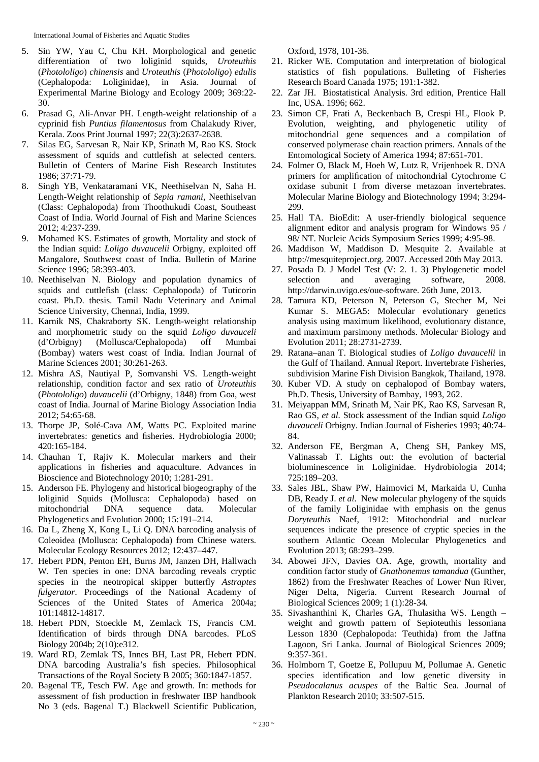International Journal of Fisheries and Aquatic Studies

- 5. Sin YW, Yau C, Chu KH. Morphological and genetic differentiation of two loliginid squids, *Uroteuthis* (*Photololigo*) *chinensis* and *Uroteuthis* (*Photololigo*) *edulis*  (Cephalopoda: Loliginidae), in Asia. Journal of Experimental Marine Biology and Ecology 2009; 369:22- 30.
- 6. Prasad G, Ali-Anvar PH. Length-weight relationship of a cyprinid fish *Puntius filamentosus* from Chalakudy River, Kerala. Zoos Print Journal 1997; 22(3):2637-2638.
- 7. Silas EG, Sarvesan R, Nair KP, Srinath M, Rao KS. Stock assessment of squids and cuttlefish at selected centers. Bulletin of Centers of Marine Fish Research Institutes 1986; 37:71-79.
- 8. Singh YB, Venkataramani VK, Neethiselvan N, Saha H. Length-Weight relationship of *Sepia ramani*, Neethiselvan (Class: Cephalopoda) from Thoothukudi Coast, Southeast Coast of India. World Journal of Fish and Marine Sciences 2012; 4:237-239.
- 9. Mohamed KS. Estimates of growth, Mortality and stock of the Indian squid: *Loligo duvaucelii* Orbigny, exploited off Mangalore, Southwest coast of India. Bulletin of Marine Science 1996; 58:393-403.
- 10. Neethiselvan N. Biology and population dynamics of squids and cuttlefish (class: Cephalopoda) of Tuticorin coast. Ph.D. thesis. Tamil Nadu Veterinary and Animal Science University, Chennai, India, 1999.
- 11. Karnik NS, Chakraborty SK. Length-weight relationship and morphometric study on the squid *Loligo duvauceli* (d'Orbigny) (Mollusca/Cephalopoda) off Mumbai (Bombay) waters west coast of India. Indian Journal of Marine Sciences 2001; 30:261-263.
- 12. Mishra AS, Nautiyal P, Somvanshi VS. Length-weight relationship, condition factor and sex ratio of *Uroteuthis*  (*Photololigo*) *duvaucelii* (d'Orbigny, 1848) from Goa, west coast of India. Journal of Marine Biology Association India 2012; 54:65-68.
- 13. Thorpe JP, Solé-Cava AM, Watts PC. Exploited marine invertebrates: genetics and fisheries. Hydrobiologia 2000; 420:165-184.
- 14. Chauhan T, Rajiv K. Molecular markers and their applications in fisheries and aquaculture. Advances in Bioscience and Biotechnology 2010; 1:281-291.
- 15. Anderson FE. Phylogeny and historical biogeography of the loliginid Squids (Mollusca: Cephalopoda) based on mitochondrial DNA sequence data. Molecular Phylogenetics and Evolution 2000; 15:191–214.
- 16. Da L, Zheng X, Kong L, Li Q. DNA barcoding analysis of Coleoidea (Mollusca: Cephalopoda) from Chinese waters. Molecular Ecology Resources 2012; 12:437–447.
- 17. Hebert PDN, Penton EH, Burns JM, Janzen DH, Hallwach W. Ten species in one: DNA barcoding reveals cryptic species in the neotropical skipper butterfly *Astraptes fulgerator*. Proceedings of the National Academy of Sciences of the United States of America 2004a; 101:14812-14817.
- 18. Hebert PDN, Stoeckle M, Zemlack TS, Francis CM. Identification of birds through DNA barcodes. PLoS Biology 2004b; 2(10):e312.
- 19. Ward RD, Zemlak TS, Innes BH, Last PR, Hebert PDN. DNA barcoding Australia's fish species. Philosophical Transactions of the Royal Society B 2005; 360:1847-1857.
- 20. Bagenal TE, Tesch FW. Age and growth. In: methods for assessment of fish production in freshwater IBP handbook No 3 (eds. Bagenal T.) Blackwell Scientific Publication,

Oxford, 1978, 101-36.

- 21. Ricker WE. Computation and interpretation of biological statistics of fish populations. Bulleting of Fisheries Research Board Canada 1975; 191:1-382.
- 22. Zar JH. Biostatistical Analysis. 3rd edition, Prentice Hall Inc, USA. 1996; 662.
- 23. Simon CF, Frati A, Beckenbach B, Crespi HL, Flook P. Evolution, weighting, and phylogenetic utility of mitochondrial gene sequences and a compilation of conserved polymerase chain reaction primers. Annals of the Entomological Society of America 1994; 87:651-701.
- 24. Folmer O, Black M, Hoeh W, Lutz R, Vrijenhoek R. DNA primers for amplification of mitochondrial Cytochrome C oxidase subunit I from diverse metazoan invertebrates. Molecular Marine Biology and Biotechnology 1994; 3:294- 299.
- 25. Hall TA. BioEdit: A user-friendly biological sequence alignment editor and analysis program for Windows 95 / 98/ NT. Nucleic Acids Symposium Series 1999; 4:95-98.
- 26. Maddison W, Maddison D. Mesquite 2. Available at http://mesquiteproject.org. 2007. Accessed 20th May 2013.
- 27. Posada D. J Model Test (V: 2. 1. 3) Phylogenetic model selection and averaging software, 2008. http://darwin.uvigo.es/oue-software. 26th June, 2013.
- 28. Tamura KD, Peterson N, Peterson G, Stecher M, Nei Kumar S. MEGA5: Molecular evolutionary genetics analysis using maximum likelihood, evolutionary distance, and maximum parsimony methods. Molecular Biology and Evolution 2011; 28:2731-2739.
- 29. Ratana–anan T. Biological studies of *Loligo duvaucelli* in the Gulf of Thailand. Annual Report. Invertebrate Fisheries, subdivision Marine Fish Division Bangkok, Thailand, 1978.
- 30. Kuber VD. A study on cephalopod of Bombay waters, Ph.D. Thesis, University of Bambay, 1993, 262.
- 31. Meiyappan MM, Srinath M, Nair PK, Rao KS, Sarvesan R, Rao GS, *et al.* Stock assessment of the Indian squid *Loligo duvauceli* Orbigny. Indian Journal of Fisheries 1993; 40:74- 84.
- 32. Anderson FE, Bergman A, Cheng SH, Pankey MS, Valinassab T. Lights out: the evolution of bacterial bioluminescence in Loliginidae. Hydrobiologia 2014; 725:189–203.
- 33. Sales JBL, Shaw PW, Haimovici M, Markaida U, Cunha DB, Ready J. *et al*. New molecular phylogeny of the squids of the family Loliginidae with emphasis on the genus *Doryteuthis* Naef, 1912: Mitochondrial and nuclear sequences indicate the presence of cryptic species in the southern Atlantic Ocean Molecular Phylogenetics and Evolution 2013; 68:293–299.
- 34. Abowei JFN, Davies OA. Age, growth, mortality and condition factor study of *Gnathonemus tamandua* (Gunther, 1862) from the Freshwater Reaches of Lower Nun River, Niger Delta, Nigeria. Current Research Journal of Biological Sciences 2009; 1 (1):28-34.
- 35. Sivashanthini K, Charles GA, Thulasitha WS. Length weight and growth pattern of Sepioteuthis lessoniana Lesson 1830 (Cephalopoda: Teuthida) from the Jaffna Lagoon, Sri Lanka. Journal of Biological Sciences 2009; 9:357-361.
- 36. Holmborn T, Goetze E, Pollupuu M, Pollumae A. Genetic species identification and low genetic diversity in *Pseudocalanus acuspes* of the Baltic Sea. Journal of Plankton Research 2010; 33:507-515.